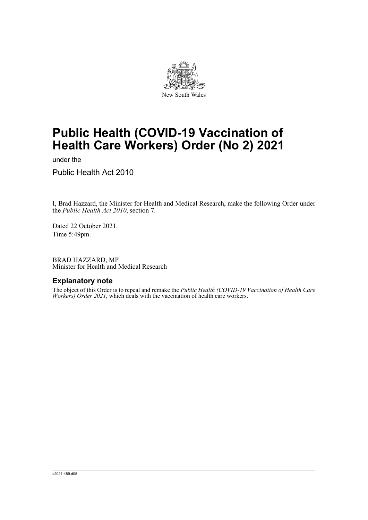

# **Public Health (COVID-19 Vaccination of Health Care Workers) Order (No 2) 2021**

under the

Public Health Act 2010

I, Brad Hazzard, the Minister for Health and Medical Research, make the following Order under the *Public Health Act 2010*, section 7.

Dated 22 October 2021. Time 5:49pm.

BRAD HAZZARD, MP Minister for Health and Medical Research

#### **Explanatory note**

The object of this Order is to repeal and remake the *Public Health (COVID-19 Vaccination of Health Care Workers) Order 2021*, which deals with the vaccination of health care workers.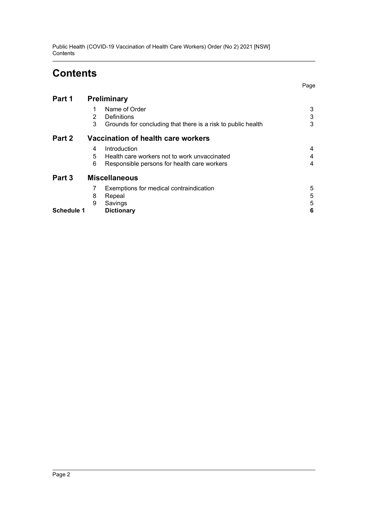Public Health (COVID-19 Vaccination of Health Care Workers) Order (No 2) 2021 [NSW] **Contents** 

## **Contents**

Page

| Part 1            | Preliminary                        |                                                              |   |
|-------------------|------------------------------------|--------------------------------------------------------------|---|
|                   |                                    | Name of Order                                                | 3 |
|                   | 2                                  | Definitions                                                  | 3 |
|                   | 3                                  | Grounds for concluding that there is a risk to public health | 3 |
| Part 2            | Vaccination of health care workers |                                                              |   |
|                   | 4                                  | Introduction                                                 | 4 |
|                   | 5                                  | Health care workers not to work unvaccinated                 | 4 |
|                   | 6                                  | Responsible persons for health care workers                  | 4 |
| Part 3            |                                    | <b>Miscellaneous</b>                                         |   |
|                   | 7                                  | Exemptions for medical contraindication                      | 5 |
|                   | 8                                  | Repeal                                                       | 5 |
|                   | 9                                  | Savings                                                      | 5 |
| <b>Schedule 1</b> |                                    | <b>Dictionary</b>                                            | 6 |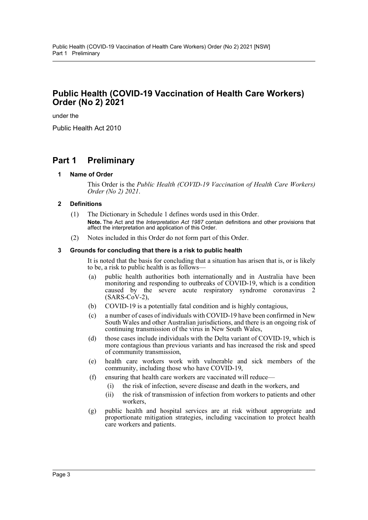### **Public Health (COVID-19 Vaccination of Health Care Workers) Order (No 2) 2021**

under the

Public Health Act 2010

### <span id="page-2-1"></span><span id="page-2-0"></span>**Part 1 Preliminary**

#### **1 Name of Order**

This Order is the *Public Health (COVID-19 Vaccination of Health Care Workers) Order (No 2) 2021*.

#### <span id="page-2-2"></span>**2 Definitions**

- (1) The Dictionary in Schedule 1 defines words used in this Order. **Note.** The Act and the *Interpretation Act 1987* contain definitions and other provisions that affect the interpretation and application of this Order.
- (2) Notes included in this Order do not form part of this Order.

#### <span id="page-2-3"></span>**3 Grounds for concluding that there is a risk to public health**

It is noted that the basis for concluding that a situation has arisen that is, or is likely to be, a risk to public health is as follows—

- (a) public health authorities both internationally and in Australia have been monitoring and responding to outbreaks of COVID-19, which is a condition caused by the severe acute respiratory syndrome coronavirus 2  $(SARS-CoV-2)$ ,
- (b) COVID-19 is a potentially fatal condition and is highly contagious,
- (c) a number of cases of individuals with COVID-19 have been confirmed in New South Wales and other Australian jurisdictions, and there is an ongoing risk of continuing transmission of the virus in New South Wales,
- (d) those cases include individuals with the Delta variant of COVID-19, which is more contagious than previous variants and has increased the risk and speed of community transmission,
- (e) health care workers work with vulnerable and sick members of the community, including those who have COVID-19,
- (f) ensuring that health care workers are vaccinated will reduce—
	- (i) the risk of infection, severe disease and death in the workers, and
		- (ii) the risk of transmission of infection from workers to patients and other workers,
- (g) public health and hospital services are at risk without appropriate and proportionate mitigation strategies, including vaccination to protect health care workers and patients.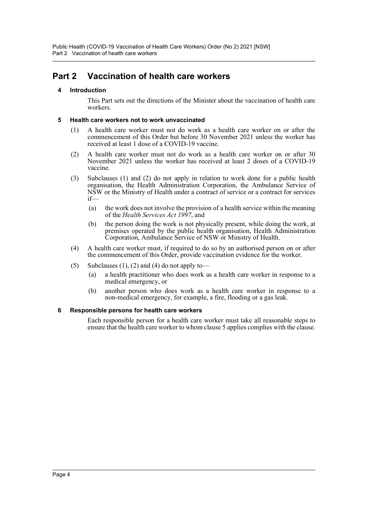### <span id="page-3-1"></span><span id="page-3-0"></span>**Part 2 Vaccination of health care workers**

#### **4 Introduction**

This Part sets out the directions of the Minister about the vaccination of health care workers.

#### <span id="page-3-2"></span>**5 Health care workers not to work unvaccinated**

- (1) A health care worker must not do work as a health care worker on or after the commencement of this Order but before 30 November 2021 unless the worker has received at least 1 dose of a COVID-19 vaccine.
- (2) A health care worker must not do work as a health care worker on or after 30 November 2021 unless the worker has received at least 2 doses of a COVID-19 vaccine.
- (3) Subclauses (1) and (2) do not apply in relation to work done for a public health organisation, the Health Administration Corporation, the Ambulance Service of NSW or the Ministry of Health under a contract of service or a contract for services if—
	- (a) the work does not involve the provision of a health service within the meaning of the *Health Services Act 1997*, and
	- (b) the person doing the work is not physically present, while doing the work, at premises operated by the public health organisation, Health Administration Corporation, Ambulance Service of NSW or Ministry of Health.
- (4) A health care worker must, if required to do so by an authorised person on or after the commencement of this Order, provide vaccination evidence for the worker.
- (5) Subclauses  $(1)$ ,  $(2)$  and  $(4)$  do not apply to-
	- (a) a health practitioner who does work as a health care worker in response to a medical emergency, or
	- (b) another person who does work as a health care worker in response to a non-medical emergency, for example, a fire, flooding or a gas leak.

#### <span id="page-3-3"></span>**6 Responsible persons for health care workers**

Each responsible person for a health care worker must take all reasonable steps to ensure that the health care worker to whom clause 5 applies complies with the clause.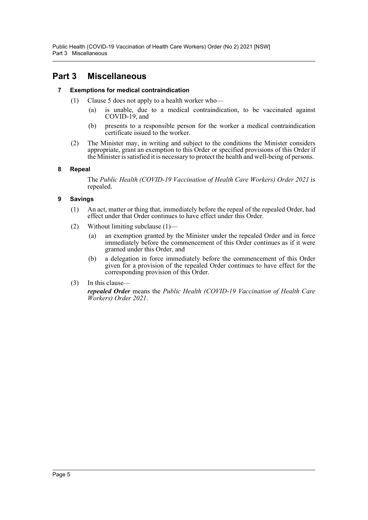Public Health (COVID-19 Vaccination of Health Care Workers) Order (No 2) 2021 [NSW] Part 3 Miscellaneous

### <span id="page-4-1"></span><span id="page-4-0"></span>**Part 3 Miscellaneous**

#### **7 Exemptions for medical contraindication**

- (1) Clause 5 does not apply to a health worker who—
	- (a) is unable, due to a medical contraindication, to be vaccinated against COVID-19, and
	- (b) presents to a responsible person for the worker a medical contraindication certificate issued to the worker.
- (2) The Minister may, in writing and subject to the conditions the Minister considers appropriate, grant an exemption to this Order or specified provisions of this Order if the Minister is satisfied it is necessary to protect the health and well-being of persons.

#### <span id="page-4-2"></span>**8 Repeal**

The *Public Health (COVID-19 Vaccination of Health Care Workers) Order 2021* is repealed.

#### <span id="page-4-3"></span>**9 Savings**

- (1) An act, matter or thing that, immediately before the repeal of the repealed Order, had effect under that Order continues to have effect under this Order.
- (2) Without limiting subclause (1)—
	- (a) an exemption granted by the Minister under the repealed Order and in force immediately before the commencement of this Order continues as if it were granted under this Order, and
	- (b) a delegation in force immediately before the commencement of this Order given for a provision of the repealed Order continues to have effect for the corresponding provision of this Order.
- (3) In this clause—

*repealed Order* means the *Public Health (COVID-19 Vaccination of Health Care Workers) Order 2021*.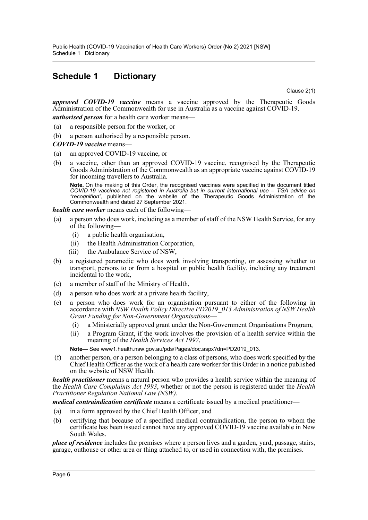### <span id="page-5-0"></span>**Schedule 1 Dictionary**

Clause 2(1)

*approved COVID-19 vaccine* means a vaccine approved by the Therapeutic Goods Administration of the Commonwealth for use in Australia as a vaccine against COVID-19.

*authorised person* for a health care worker means—

- (a) a responsible person for the worker, or
- (b) a person authorised by a responsible person.

#### *COVID-19 vaccine* means—

- (a) an approved COVID-19 vaccine, or
- (b) a vaccine, other than an approved COVID-19 vaccine, recognised by the Therapeutic Goods Administration of the Commonwealth as an appropriate vaccine against COVID-19 for incoming travellers to Australia.

**Note.** On the making of this Order, the recognised vaccines were specified in the document titled *COVID-19 vaccines not registered in Australia but in current international use – TGA advice on "recognition"*, published on the website of the Therapeutic Goods Administration of the Commonwealth and dated 27 September 2021.

*health care worker* means each of the following—

- (a) a person who does work, including as a member of staff of the NSW Health Service, for any of the following—
	- (i) a public health organisation,
	- (ii) the Health Administration Corporation,
	- (iii) the Ambulance Service of NSW,
- (b) a registered paramedic who does work involving transporting, or assessing whether to transport, persons to or from a hospital or public health facility, including any treatment incidental to the work,
- (c) a member of staff of the Ministry of Health,
- (d) a person who does work at a private health facility,
- (e) a person who does work for an organisation pursuant to either of the following in accordance with *NSW Health Policy Directive PD2019\_013 Administration of NSW Health Grant Funding for Non-Government Organisations*—
	- (i) a Ministerially approved grant under the Non-Government Organisations Program,
	- (ii) a Program Grant, if the work involves the provision of a health service within the meaning of the *Health Services Act 1997*,

**Note—** See www1.health.nsw.gov.au/pds/Pages/doc.aspx?dn=PD2019\_013.

(f) another person, or a person belonging to a class of persons, who does work specified by the Chief Health Officer as the work of a health care worker for this Order in a notice published on the website of NSW Health.

*health practitioner* means a natural person who provides a health service within the meaning of the *Health Care Complaints Act 1993*, whether or not the person is registered under the *Health Practitioner Regulation National Law (NSW)*.

*medical contraindication certificate* means a certificate issued by a medical practitioner—

- (a) in a form approved by the Chief Health Officer, and
- (b) certifying that because of a specified medical contraindication, the person to whom the certificate has been issued cannot have any approved COVID-19 vaccine available in New South Wales.

*place of residence* includes the premises where a person lives and a garden, yard, passage, stairs, garage, outhouse or other area or thing attached to, or used in connection with, the premises.